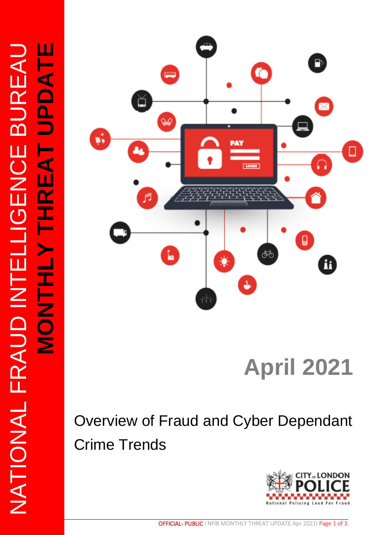# UPDATE **MONTHLY THREAT UPDATE** NATIONAL FRAUD INTELLIGENCE BUREAU NATIONAL FRAUD INTELLIGENCE BUREAU **HREAT NIHINOM**



# **April 2021**

# Overview of Fraud and Cyber Dependant Crime Trends

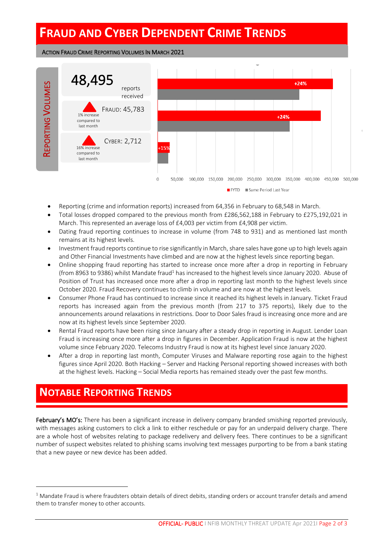## **FRAUD AND CYBER DEPENDENT CRIME TRENDS**

ACTION FRAUD CRIME REPORTING VOLUMES IN MARCH 2021



- Reporting (crime and information reports) increased from 64,356 in February to 68,548 in March.
- Total losses dropped compared to the previous month from £286,562,188 in February to £275,192,021 in March. This represented an average loss of £4,003 per victim from £4,908 per victim.
- Dating fraud reporting continues to increase in volume (from 748 to 931) and as mentioned last month remains at its highest levels.
- Investment fraud reports continue to rise significantly in March, share sales have gone up to high levels again and Other Financial Investments have climbed and are now at the highest levels since reporting began.
- Online shopping fraud reporting has started to increase once more after a drop in reporting in February (from 8963 to 9386) whilst Mandate fraud<sup>1</sup> has increased to the highest levels since January 2020. Abuse of Position of Trust has increased once more after a drop in reporting last month to the highest levels since October 2020. Fraud Recovery continues to climb in volume and are now at the highest levels.
- Consumer Phone Fraud has continued to increase since it reached its highest levels in January. Ticket Fraud reports has increased again from the previous month (from 217 to 375 reports), likely due to the announcements around relaxations in restrictions. Door to Door Sales fraud is increasing once more and are now at its highest levels since September 2020.
- Rental Fraud reports have been rising since January after a steady drop in reporting in August. Lender Loan Fraud is increasing once more after a drop in figures in December. Application Fraud is now at the highest volume since February 2020. Telecoms Industry Fraud is now at its highest level since January 2020.
- After a drop in reporting last month, Computer Viruses and Malware reporting rose again to the highest figures since April 2020. Both Hacking – Server and Hacking Personal reporting showed increases with both at the highest levels. Hacking – Social Media reports has remained steady over the past few months.

#### **NOTABLE REPORTING TRENDS** l

February's MO's: There has been a significant increase in delivery company branded smishing reported previously, with messages asking customers to click a link to either reschedule or pay for an underpaid delivery charge. There are a whole host of websites relating to package redelivery and delivery fees. There continues to be a significant number of suspect websites related to phishing scams involving text messages purporting to be from a bank stating that a new payee or new device has been added.

 $\overline{a}$ 

 $1$  Mandate Fraud is where fraudsters obtain details of direct debits, standing orders or account transfer details and amend them to transfer money to other accounts.